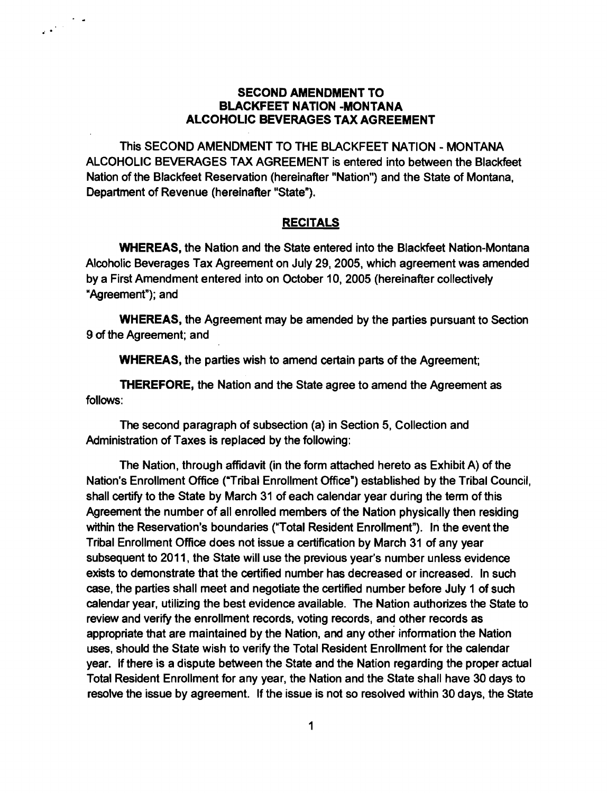## SECOND AMENDMENT TO BLACKFEET NATION -MONTANA ALCOHOLIC BEVERAGES TAX AGREEMENT

 $\mathcal{L}^{(1)}$ 

This SECOND AMENDMENT TO THE BLACKFEET NATION - MONTANA ALCOHOLIC BEVERAGES TAX AGREEMENT is entered into between the Blackfeet Nation of the Blackfeet Reservation (hereinafter "Nation") and the State of Montana, Department of Revenue (hereinafter "State").

## RECITALS

WHEREAS, the Nation and the State entered into the Blackfeet Nation-Montana Alcoholic Beverages Tax Agreement on July 29,2005, which agreement was amended by a First Amendment entered into on October 10, 2005 (hereinafter collectively "Agreement"); and

WHEREAS, the Agreement may be amended by the parties pursuant to Section 9 of the Agreement; and

WHEREAS, the parties wish to amend certain parts of the Agreement;

THEREFORE, the Nation and the State agree to amend the Agreement as follows:

The second paragraph of subsection (a) in Section 5, Collection and Administration of Taxes is replaced by the following:

The Nation, through affidavit (in the form attached hereto as Exhibit A) of the Nation's Enrollment Office ("Tribal Enrollment Office") established by the Tribal Council, shall certify to the State by March 31 of each calendar year during the term of this Agreement the number of all enrolled members of the Nation physically then residing within the Reservation's boundaries ("Total Resident Enrollment"). In the event the Tribal Enrollment Office does not issue a certification by March 31 of any year subsequent to 2011, the State will use the previous year's number unless evidence exists to demonstrate that the certified number has decreased or increased. In such case, the parties shall meet and negotiate the certified number before July 1 of such calendar year, utilizing the best evidence available. The Nation authorizes the State to review and verify the enrollment records, voting records, and other records as appropriate that are maintained by the Nation, and any other information the Nation uses, should the State wish to verify the Total Resident Enrollment for the calendar year. If there is a dispute between the State and the Nation regarding the proper actual Total Resident Enrollment for any year, the Nation and the State shall have 30 days to resolve the issue by agreement. If the issue is not so resolved within 30 days, the State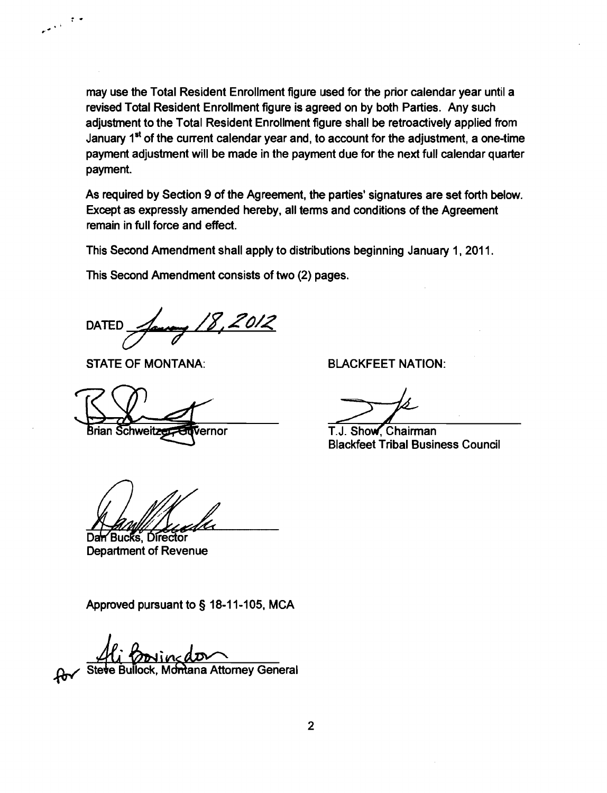may use the Total Resident Enrollment figure used for the prior calendar year until a revised Total Resident Enrollment figure is agreed on by both Parties. Any such adjustment to the Total Resident Enrollment figure shall be retroactively applied from January  $1^{st}$  of the current calendar year and, to account for the adjustment, a one-time payment adjustment will be made in the payment due for the next full calendar quarter payment.

As required by Section 9 of the Agreement, the parties' signatures are set forth below. Except as expressly amended hereby, all terms and conditions of the Agreement remain in full force and effect.

This Second Amendment shall apply to distributions beginning January 1. 2011.

This Second Amendment consists of two (2) pages.

DATED <u>*Laurence 18, 2012*</u>

STATE OF MONTANA: BLACKFEET NATION:

 $\ddot{\cdot}$ 

المعانية

Brian Schweitz Vernor

Dan Bucks, Director **Department of Revenue** 

Approved pursuant to § 18-11-105, MCA

lock, Montana Attorney General

T.J. Show, Chairman Blackfeet Tribal Business Council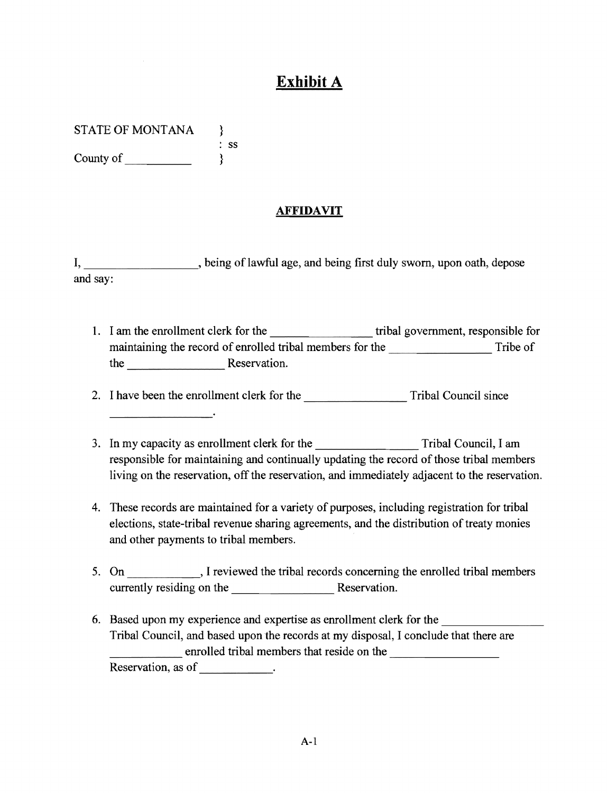## **Exhibit A**

STATE OF MONTANA }

: ss County of  $\qquad \qquad \}$ 

## **AFFIDAVIT**

I, \_\_\_\_\_\_\_\_\_\_\_\_\_\_\_, being of lawful age, and being first duly sworn, upon oath, depose and say:

1. I am the enrollment clerk for the tribal government, responsible for maintaining the record of enrolled tribal members for the Tribe of Tribe of the Reservation.

2. I have been the enrollment clerk for the Tribal Council since

- 3. In my capacity as enrollment clerk for the Tribal Council, I am responsible for maintaining and continually updating the record of those tribal members living on the reservation, off the reservation, and immediately adjacent to the reservation.
- 4. These records are maintained for a variety of purposes, including registration for tribal elections, state-tribal revenue sharing agreements, and the distribution of treaty monies and other payments to tribal members.
- 5. On Fig. 1 reviewed the tribal records concerning the enrolled tribal members currently residing on the Reservation.
- 6. Based upon my experience and expertise as enrollment clerk for the \_\_\_\_\_\_\_\_\_\_\_ Tribal Council, and based upon the records at my disposal, I conclude that there are enrolled tribal members that reside on the Reservation, as of \_\_\_\_\_\_\_\_\_\_\_\_.